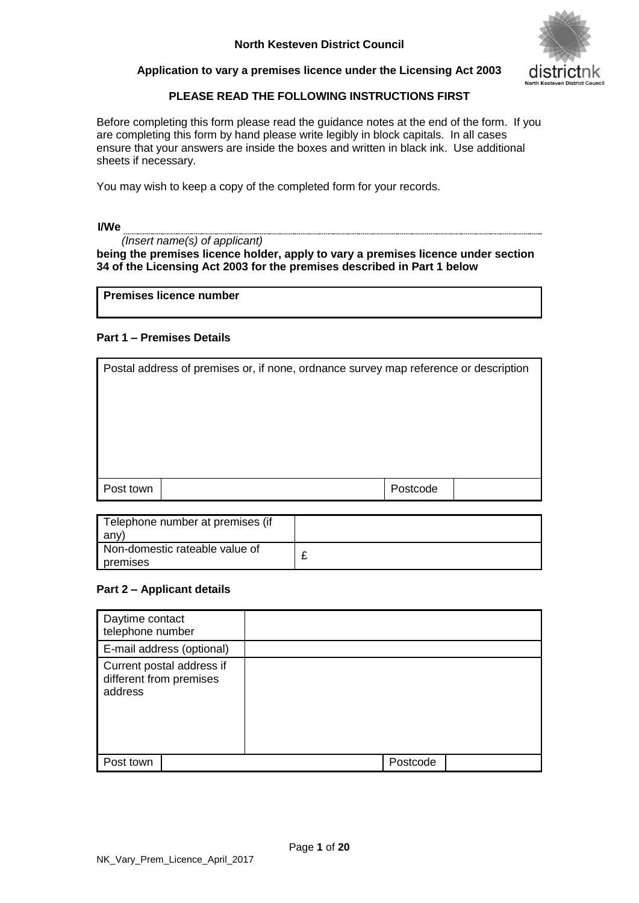

#### **Application to vary a premises licence under the Licensing Act 2003**

## **PLEASE READ THE FOLLOWING INSTRUCTIONS FIRST**

Before completing this form please read the guidance notes at the end of the form. If you are completing this form by hand please write legibly in block capitals. In all cases ensure that your answers are inside the boxes and written in black ink. Use additional sheets if necessary.

You may wish to keep a copy of the completed form for your records.

#### **I/We**

 *(Insert name(s) of applicant)* **being the premises licence holder, apply to vary a premises licence under section 34 of the Licensing Act 2003 for the premises described in Part 1 below**

**Premises licence number** 

#### **Part 1 – Premises Details**

| Postcode<br>Post town |  |  |  |  |
|-----------------------|--|--|--|--|

| Telephone number at premises (if           |  |
|--------------------------------------------|--|
| any'                                       |  |
| Non-domestic rateable value of<br>premises |  |

#### **Part 2 – Applicant details**

| Daytime contact<br>telephone number                             |          |  |
|-----------------------------------------------------------------|----------|--|
| E-mail address (optional)                                       |          |  |
| Current postal address if<br>different from premises<br>address |          |  |
| Post town                                                       | Postcode |  |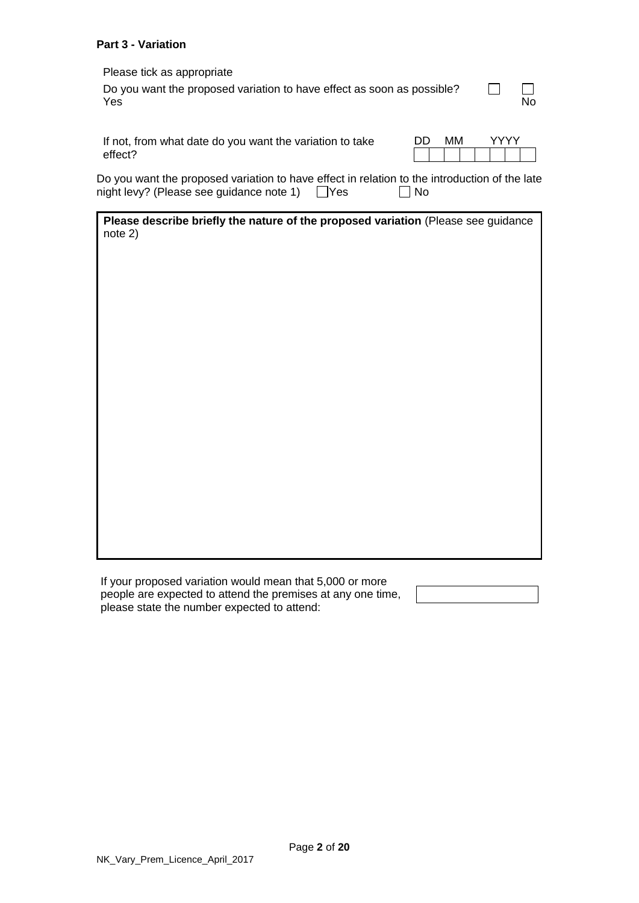#### **Part 3 - Variation**

Please tick as appropriate

| Do you want the proposed variation to have effect as soon as possible? | $\Box$ |
|------------------------------------------------------------------------|--------|
| Yes                                                                    | No.    |

| If not, from what date do you want the variation to take |  |  | DD MM |  | YYYY Y |  |
|----------------------------------------------------------|--|--|-------|--|--------|--|
| effect?                                                  |  |  |       |  |        |  |

Do you want the proposed variation to have effect in relation to the introduction of the late night levy? (Please see guidance note 1)  $\Box$  Yes  $\Box$  No night levy? (Please see guidance note 1)  $\Box$ Yes

| Please describe briefly the nature of the proposed variation (Please see guidance |  |
|-----------------------------------------------------------------------------------|--|
| $note$ 2)                                                                         |  |

If your proposed variation would mean that 5,000 or more people are expected to attend the premises at any one time, please state the number expected to attend: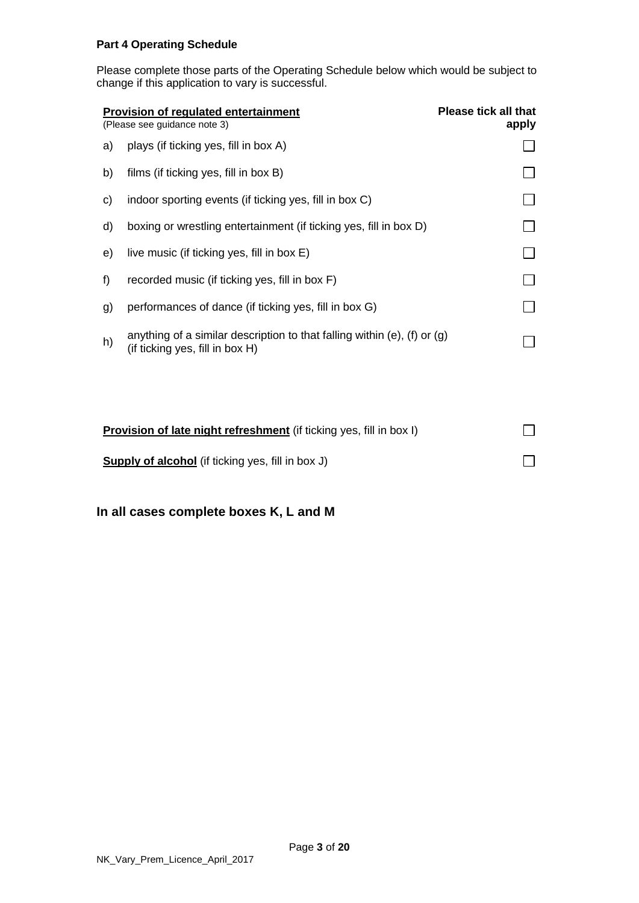#### **Part 4 Operating Schedule**

Please complete those parts of the Operating Schedule below which would be subject to change if this application to vary is successful.

|    | <b>Provision of regulated entertainment</b><br>(Please see guidance note 3)                                   | <b>Please tick all that</b><br>apply |
|----|---------------------------------------------------------------------------------------------------------------|--------------------------------------|
| a) | plays (if ticking yes, fill in box A)                                                                         |                                      |
| b) | films (if ticking yes, fill in box B)                                                                         |                                      |
| C) | indoor sporting events (if ticking yes, fill in box C)                                                        |                                      |
| d) | boxing or wrestling entertainment (if ticking yes, fill in box D)                                             |                                      |
| e) | live music (if ticking yes, fill in box E)                                                                    |                                      |
| f  | recorded music (if ticking yes, fill in box F)                                                                |                                      |
| g) | performances of dance (if ticking yes, fill in box G)                                                         |                                      |
| h) | anything of a similar description to that falling within (e), (f) or $(q)$<br>(if ticking yes, fill in box H) |                                      |
|    |                                                                                                               |                                      |
|    |                                                                                                               |                                      |

| <b>Provision of late night refreshment</b> (if ticking yes, fill in box I) |  |
|----------------------------------------------------------------------------|--|
| <b>Supply of alcohol</b> (if ticking yes, fill in box J)                   |  |

**In all cases complete boxes K, L and M**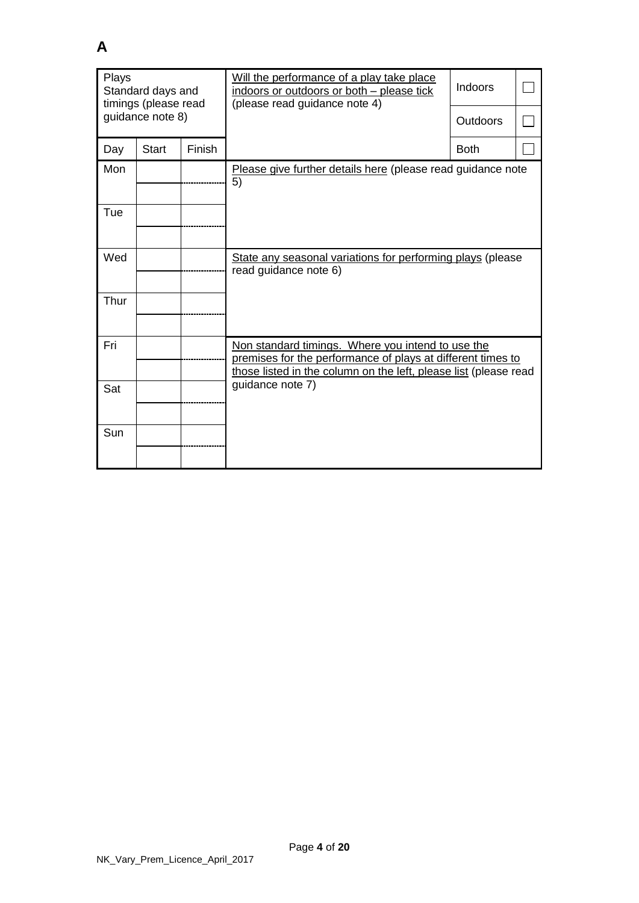| Plays<br>Standard days and<br>timings (please read |                  |        | Will the performance of a play take place<br>indoors or outdoors or both - please tick<br>(please read guidance note 4)                                                              | Indoors     |  |
|----------------------------------------------------|------------------|--------|--------------------------------------------------------------------------------------------------------------------------------------------------------------------------------------|-------------|--|
|                                                    | guidance note 8) |        |                                                                                                                                                                                      | Outdoors    |  |
| Day                                                | <b>Start</b>     | Finish |                                                                                                                                                                                      | <b>Both</b> |  |
| Mon                                                |                  |        | Please give further details here (please read guidance note<br>5)                                                                                                                    |             |  |
| Tue                                                |                  |        |                                                                                                                                                                                      |             |  |
| Wed                                                |                  |        | State any seasonal variations for performing plays (please<br>read guidance note 6)                                                                                                  |             |  |
| Thur                                               |                  |        |                                                                                                                                                                                      |             |  |
| Fri                                                |                  |        | Non standard timings. Where you intend to use the<br>premises for the performance of plays at different times to<br>those listed in the column on the left, please list (please read |             |  |
| Sat                                                |                  |        | guidance note 7)                                                                                                                                                                     |             |  |
| Sun                                                |                  |        |                                                                                                                                                                                      |             |  |

**A**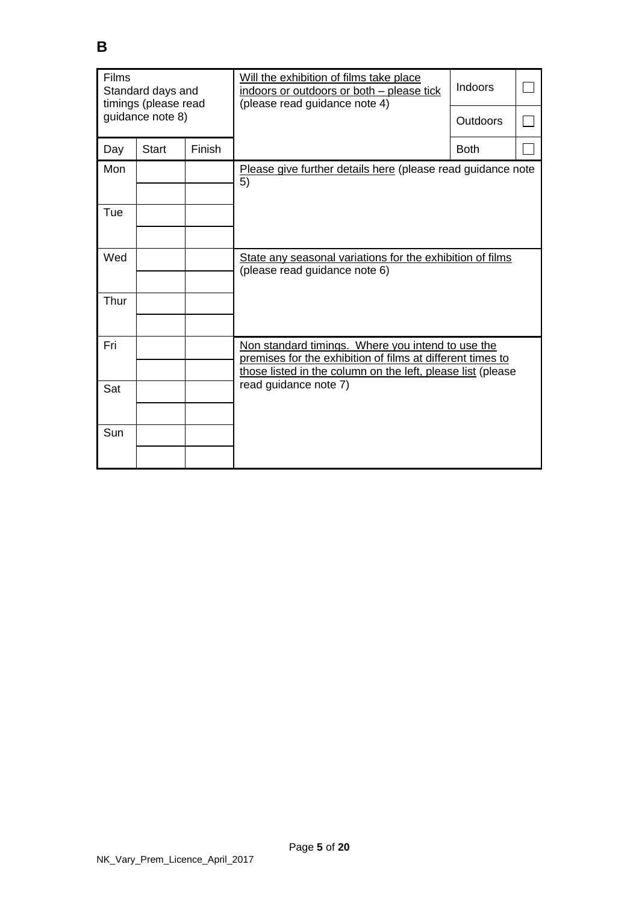| <b>Films</b><br>Standard days and<br>timings (please read |              |        | Will the exhibition of films take place<br>indoors or outdoors or both - please tick<br>(please read guidance note 4)                                                          | Indoors     |  |  |
|-----------------------------------------------------------|--------------|--------|--------------------------------------------------------------------------------------------------------------------------------------------------------------------------------|-------------|--|--|
| guidance note 8)                                          |              |        |                                                                                                                                                                                | Outdoors    |  |  |
| Day                                                       | <b>Start</b> | Finish |                                                                                                                                                                                | <b>Both</b> |  |  |
| Mon                                                       |              |        | Please give further details here (please read guidance note<br>5)                                                                                                              |             |  |  |
| Tue                                                       |              |        |                                                                                                                                                                                |             |  |  |
| Wed                                                       |              |        | State any seasonal variations for the exhibition of films<br>(please read guidance note 6)                                                                                     |             |  |  |
| Thur                                                      |              |        |                                                                                                                                                                                |             |  |  |
| Fri                                                       |              |        | Non standard timings. Where you intend to use the<br>premises for the exhibition of films at different times to<br>those listed in the column on the left, please list (please |             |  |  |
| Sat                                                       |              |        | read guidance note 7)                                                                                                                                                          |             |  |  |
| Sun                                                       |              |        |                                                                                                                                                                                |             |  |  |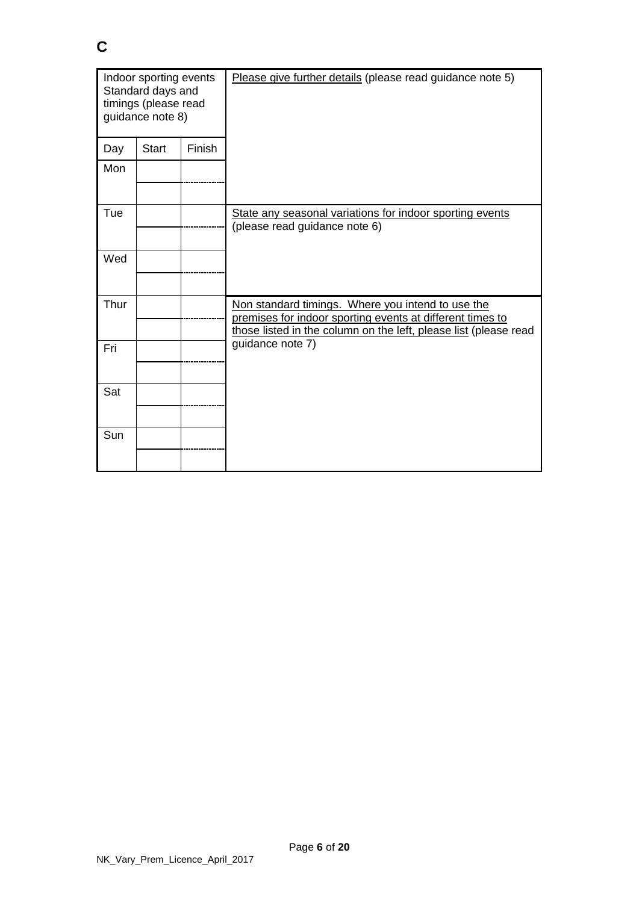| Indoor sporting events<br>Standard days and<br>timings (please read<br>guidance note 8) |              |        | Please give further details (please read guidance note 5)                                                                                                                          |
|-----------------------------------------------------------------------------------------|--------------|--------|------------------------------------------------------------------------------------------------------------------------------------------------------------------------------------|
| Day                                                                                     | <b>Start</b> | Finish |                                                                                                                                                                                    |
| Mon                                                                                     |              |        |                                                                                                                                                                                    |
| Tue                                                                                     |              |        | State any seasonal variations for indoor sporting events<br>(please read guidance note 6)                                                                                          |
| Wed                                                                                     |              |        |                                                                                                                                                                                    |
| Thur                                                                                    |              |        | Non standard timings. Where you intend to use the<br>premises for indoor sporting events at different times to<br>those listed in the column on the left, please list (please read |
| Fri                                                                                     |              |        | guidance note 7)                                                                                                                                                                   |
| Sat                                                                                     |              |        |                                                                                                                                                                                    |
| Sun                                                                                     |              |        |                                                                                                                                                                                    |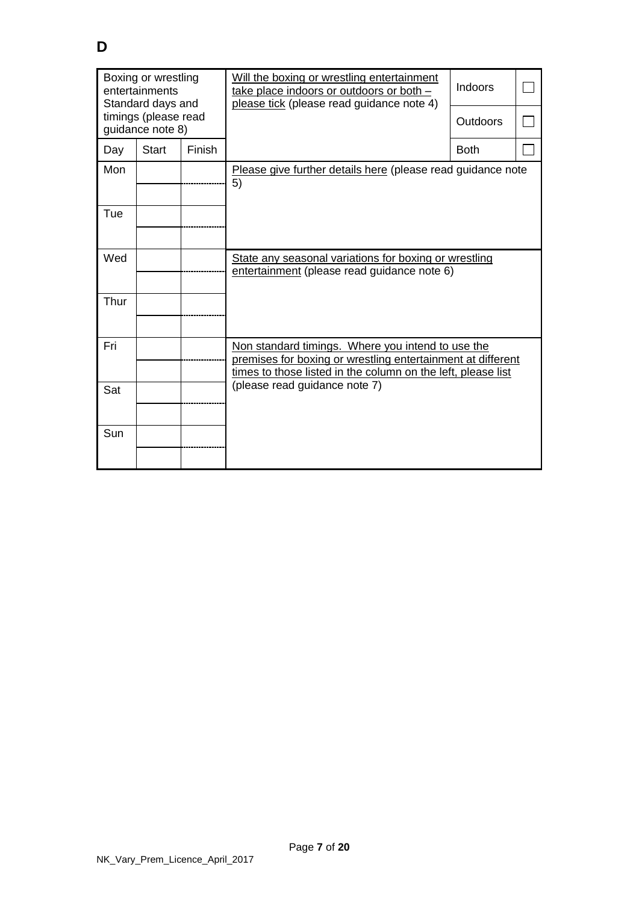| Boxing or wrestling<br>entertainments<br>Standard days and |              |        | Will the boxing or wrestling entertainment<br>take place indoors or outdoors or both -<br>please tick (please read guidance note 4)                                              | <b>Indoors</b> |  |  |
|------------------------------------------------------------|--------------|--------|----------------------------------------------------------------------------------------------------------------------------------------------------------------------------------|----------------|--|--|
| timings (please read<br>guidance note 8)                   |              |        |                                                                                                                                                                                  | Outdoors       |  |  |
| Day                                                        | <b>Start</b> | Finish |                                                                                                                                                                                  | <b>Both</b>    |  |  |
| Mon                                                        |              |        | Please give further details here (please read guidance note<br>5)                                                                                                                |                |  |  |
| Tue                                                        |              |        |                                                                                                                                                                                  |                |  |  |
| Wed                                                        |              |        | State any seasonal variations for boxing or wrestling<br>entertainment (please read guidance note 6)                                                                             |                |  |  |
| Thur                                                       |              |        |                                                                                                                                                                                  |                |  |  |
| Fri                                                        |              |        | Non standard timings. Where you intend to use the<br>premises for boxing or wrestling entertainment at different<br>times to those listed in the column on the left, please list |                |  |  |
| Sat                                                        |              |        | (please read guidance note 7)                                                                                                                                                    |                |  |  |
| Sun                                                        |              |        |                                                                                                                                                                                  |                |  |  |
|                                                            |              |        |                                                                                                                                                                                  |                |  |  |

**D**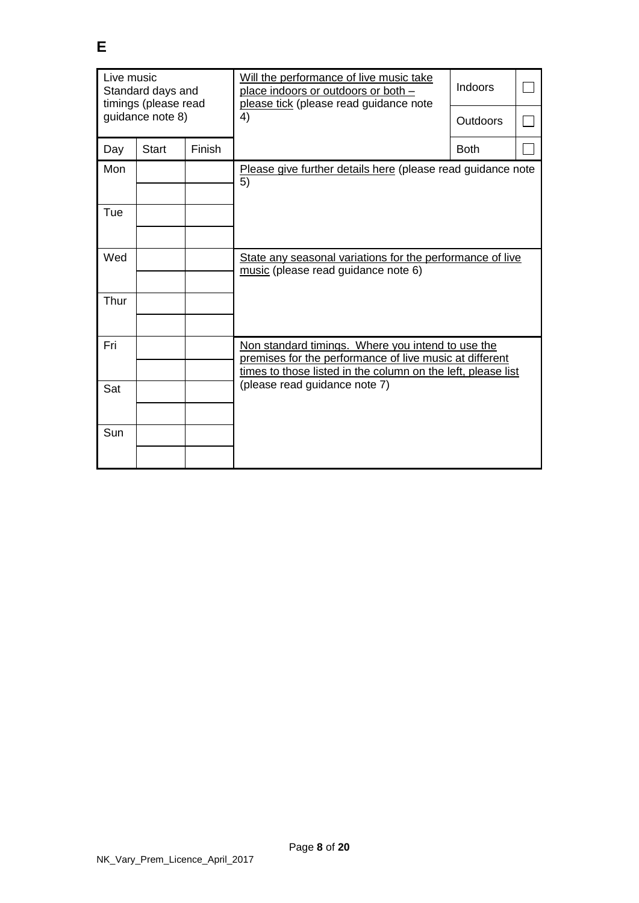| Live music<br>Standard days and<br>timings (please read |                  |        | Will the performance of live music take<br>place indoors or outdoors or both -<br>please tick (please read guidance note                                                     | Indoors  |  |  |
|---------------------------------------------------------|------------------|--------|------------------------------------------------------------------------------------------------------------------------------------------------------------------------------|----------|--|--|
|                                                         | guidance note 8) |        | 4)                                                                                                                                                                           | Outdoors |  |  |
| Day                                                     | <b>Start</b>     | Finish |                                                                                                                                                                              | Both     |  |  |
| Mon                                                     |                  |        | Please give further details here (please read guidance note<br>5)                                                                                                            |          |  |  |
| Tue                                                     |                  |        |                                                                                                                                                                              |          |  |  |
| Wed                                                     |                  |        | State any seasonal variations for the performance of live<br>music (please read guidance note 6)                                                                             |          |  |  |
| Thur                                                    |                  |        |                                                                                                                                                                              |          |  |  |
| Fri                                                     |                  |        | Non standard timings. Where you intend to use the<br>premises for the performance of live music at different<br>times to those listed in the column on the left, please list |          |  |  |
| Sat                                                     |                  |        | (please read guidance note 7)                                                                                                                                                |          |  |  |
| Sun                                                     |                  |        |                                                                                                                                                                              |          |  |  |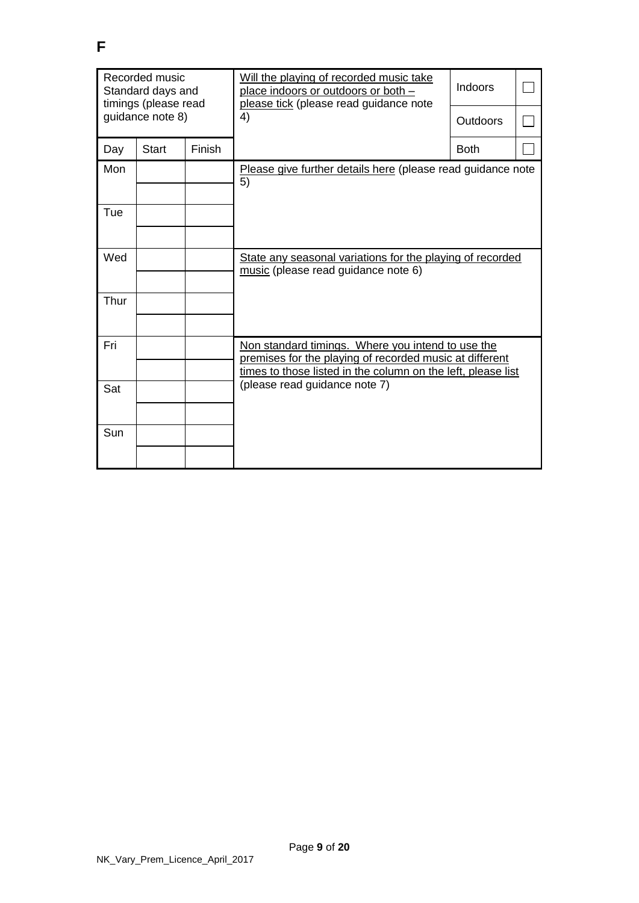| Recorded music<br>Standard days and<br>timings (please read |                  |        | Will the playing of recorded music take<br>place indoors or outdoors or both -<br>please tick (please read guidance note                                                     | Indoors     |  |  |
|-------------------------------------------------------------|------------------|--------|------------------------------------------------------------------------------------------------------------------------------------------------------------------------------|-------------|--|--|
|                                                             | guidance note 8) |        | 4)                                                                                                                                                                           | Outdoors    |  |  |
| Day                                                         | <b>Start</b>     | Finish |                                                                                                                                                                              | <b>Both</b> |  |  |
| Mon                                                         |                  |        | Please give further details here (please read guidance note<br>5)                                                                                                            |             |  |  |
| Tue                                                         |                  |        |                                                                                                                                                                              |             |  |  |
| Wed                                                         |                  |        | State any seasonal variations for the playing of recorded<br>music (please read guidance note 6)                                                                             |             |  |  |
| Thur                                                        |                  |        |                                                                                                                                                                              |             |  |  |
| Fri                                                         |                  |        | Non standard timings. Where you intend to use the<br>premises for the playing of recorded music at different<br>times to those listed in the column on the left, please list |             |  |  |
| Sat                                                         |                  |        | (please read guidance note 7)                                                                                                                                                |             |  |  |
| Sun                                                         |                  |        |                                                                                                                                                                              |             |  |  |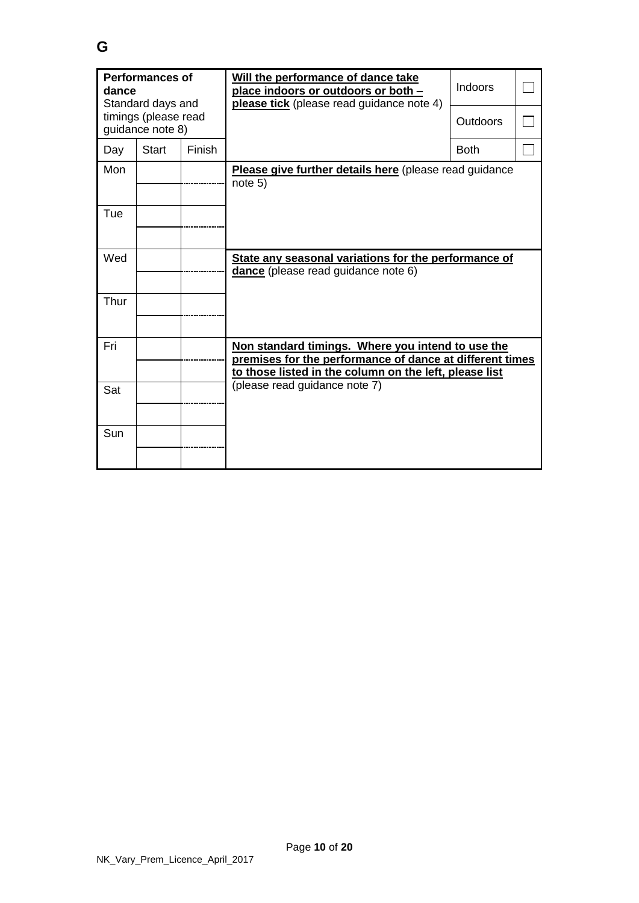| <b>Performances of</b><br>dance<br>Standard days and |                                          |               | Will the performance of dance take<br>place indoors or outdoors or both -<br><b>please tick</b> (please read guidance note 4)                                           | <b>Indoors</b> |  |  |
|------------------------------------------------------|------------------------------------------|---------------|-------------------------------------------------------------------------------------------------------------------------------------------------------------------------|----------------|--|--|
|                                                      | timings (please read<br>guidance note 8) |               |                                                                                                                                                                         | Outdoors       |  |  |
| Day                                                  | <b>Start</b>                             | <b>Finish</b> |                                                                                                                                                                         | <b>Both</b>    |  |  |
| Mon                                                  |                                          |               | Please give further details here (please read guidance<br>note 5)                                                                                                       |                |  |  |
| Tue                                                  |                                          |               |                                                                                                                                                                         |                |  |  |
| Wed                                                  |                                          |               | State any seasonal variations for the performance of<br><b>dance</b> (please read guidance note 6)                                                                      |                |  |  |
| Thur                                                 |                                          |               |                                                                                                                                                                         |                |  |  |
| Fri                                                  |                                          |               | Non standard timings. Where you intend to use the<br>premises for the performance of dance at different times<br>to those listed in the column on the left, please list |                |  |  |
| Sat                                                  |                                          |               | (please read guidance note 7)                                                                                                                                           |                |  |  |
| Sun                                                  |                                          |               |                                                                                                                                                                         |                |  |  |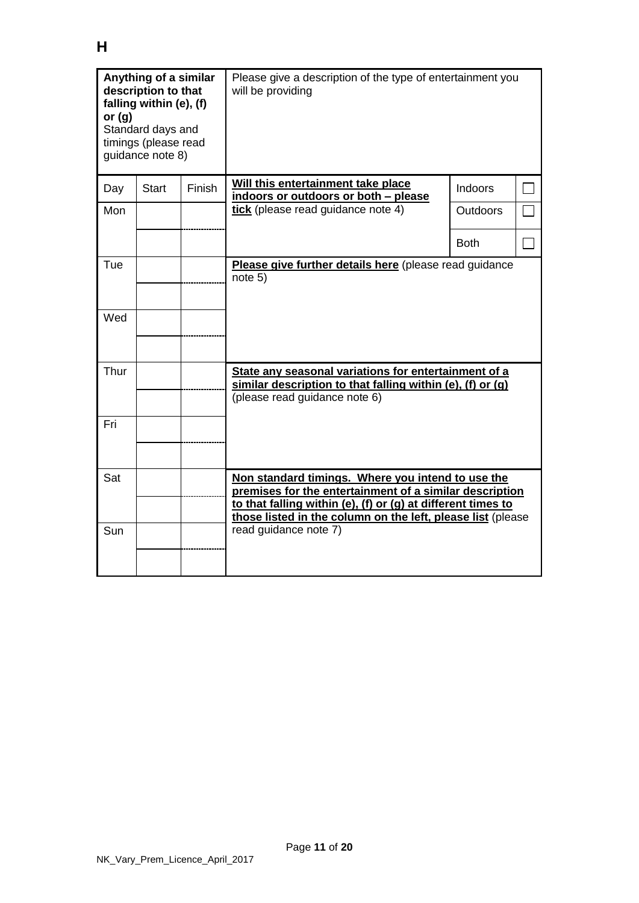| Anything of a similar<br>description to that<br>falling within (e), (f)<br>or $(g)$<br>Standard days and<br>timings (please read<br>quidance note 8) |              |        | Please give a description of the type of entertainment you<br>will be providing                                                                                                                                                             |             |  |  |
|------------------------------------------------------------------------------------------------------------------------------------------------------|--------------|--------|---------------------------------------------------------------------------------------------------------------------------------------------------------------------------------------------------------------------------------------------|-------------|--|--|
| Day                                                                                                                                                  | <b>Start</b> | Finish | Will this entertainment take place<br>indoors or outdoors or both - please                                                                                                                                                                  | Indoors     |  |  |
| Mon                                                                                                                                                  |              |        | tick (please read guidance note 4)                                                                                                                                                                                                          | Outdoors    |  |  |
|                                                                                                                                                      |              |        |                                                                                                                                                                                                                                             | <b>Both</b> |  |  |
| Tue                                                                                                                                                  |              |        | Please give further details here (please read guidance<br>note 5)                                                                                                                                                                           |             |  |  |
| Wed                                                                                                                                                  |              |        |                                                                                                                                                                                                                                             |             |  |  |
| Thur                                                                                                                                                 |              |        | State any seasonal variations for entertainment of a<br>similar description to that falling within (e), (f) or (g)<br>(please read guidance note 6)                                                                                         |             |  |  |
| Fri                                                                                                                                                  |              |        |                                                                                                                                                                                                                                             |             |  |  |
| Sat                                                                                                                                                  |              |        | Non standard timings. Where you intend to use the<br>premises for the entertainment of a similar description<br>to that falling within (e), (f) or (g) at different times to<br>those listed in the column on the left, please list (please |             |  |  |
| Sun                                                                                                                                                  |              |        | read guidance note 7)                                                                                                                                                                                                                       |             |  |  |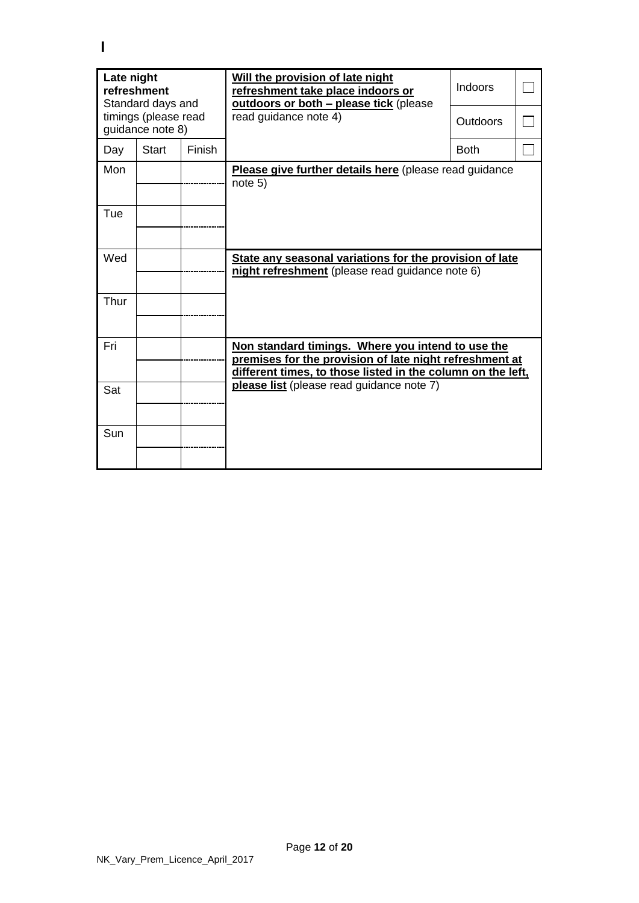| Late night<br>refreshment<br>Standard days and |                                          |               | Will the provision of late night<br>refreshment take place indoors or<br>outdoors or both - please tick (please                                                             | Indoors         |  |  |
|------------------------------------------------|------------------------------------------|---------------|-----------------------------------------------------------------------------------------------------------------------------------------------------------------------------|-----------------|--|--|
|                                                | timings (please read<br>guidance note 8) |               | read guidance note 4)                                                                                                                                                       | <b>Outdoors</b> |  |  |
| Day                                            | <b>Start</b>                             | <b>Finish</b> |                                                                                                                                                                             | <b>Both</b>     |  |  |
| Mon                                            |                                          |               | Please give further details here (please read guidance<br>note 5)                                                                                                           |                 |  |  |
| Tue                                            |                                          |               |                                                                                                                                                                             |                 |  |  |
| Wed                                            |                                          |               | State any seasonal variations for the provision of late<br>night refreshment (please read guidance note 6)                                                                  |                 |  |  |
| Thur                                           |                                          |               |                                                                                                                                                                             |                 |  |  |
| Fri                                            |                                          |               | Non standard timings. Where you intend to use the<br>premises for the provision of late night refreshment at<br>different times, to those listed in the column on the left, |                 |  |  |
| Sat                                            |                                          |               | please list (please read guidance note 7)                                                                                                                                   |                 |  |  |
| Sun                                            |                                          |               |                                                                                                                                                                             |                 |  |  |

**I**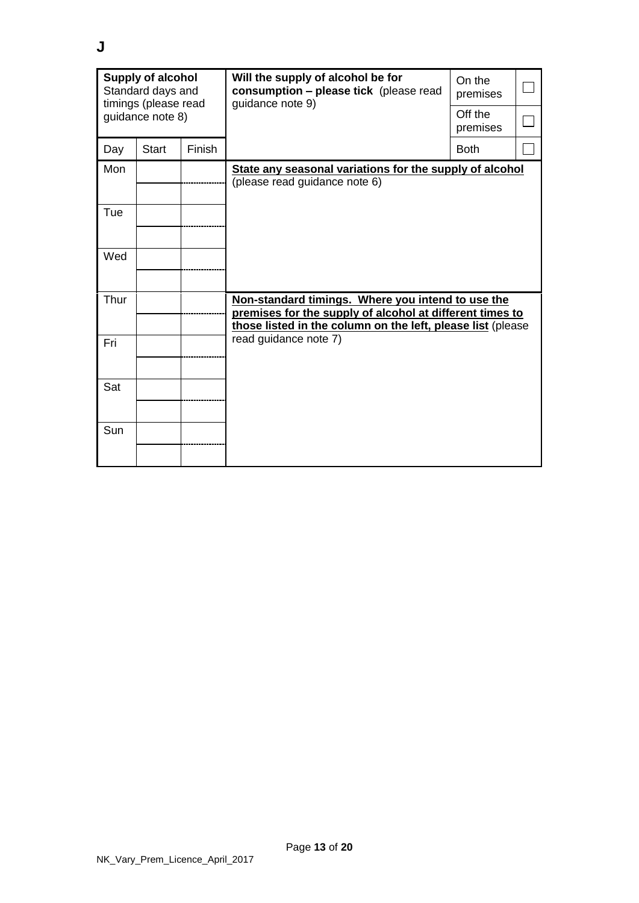| <b>Supply of alcohol</b><br>Standard days and<br>timings (please read |              |               | Will the supply of alcohol be for<br>consumption - please tick (please read<br>guidance note 9)                                                                              | On the<br>premises  |  |
|-----------------------------------------------------------------------|--------------|---------------|------------------------------------------------------------------------------------------------------------------------------------------------------------------------------|---------------------|--|
| guidance note 8)                                                      |              |               |                                                                                                                                                                              | Off the<br>premises |  |
| Day                                                                   | <b>Start</b> | <b>Finish</b> |                                                                                                                                                                              | <b>Both</b>         |  |
| Mon                                                                   |              |               | State any seasonal variations for the supply of alcohol<br>(please read guidance note 6)                                                                                     |                     |  |
| Tue                                                                   |              |               |                                                                                                                                                                              |                     |  |
| Wed                                                                   |              |               |                                                                                                                                                                              |                     |  |
| Thur                                                                  |              |               | Non-standard timings. Where you intend to use the<br>premises for the supply of alcohol at different times to<br>those listed in the column on the left, please list (please |                     |  |
| Fri                                                                   |              |               | read guidance note 7)                                                                                                                                                        |                     |  |
| Sat                                                                   |              |               |                                                                                                                                                                              |                     |  |
| Sun                                                                   |              |               |                                                                                                                                                                              |                     |  |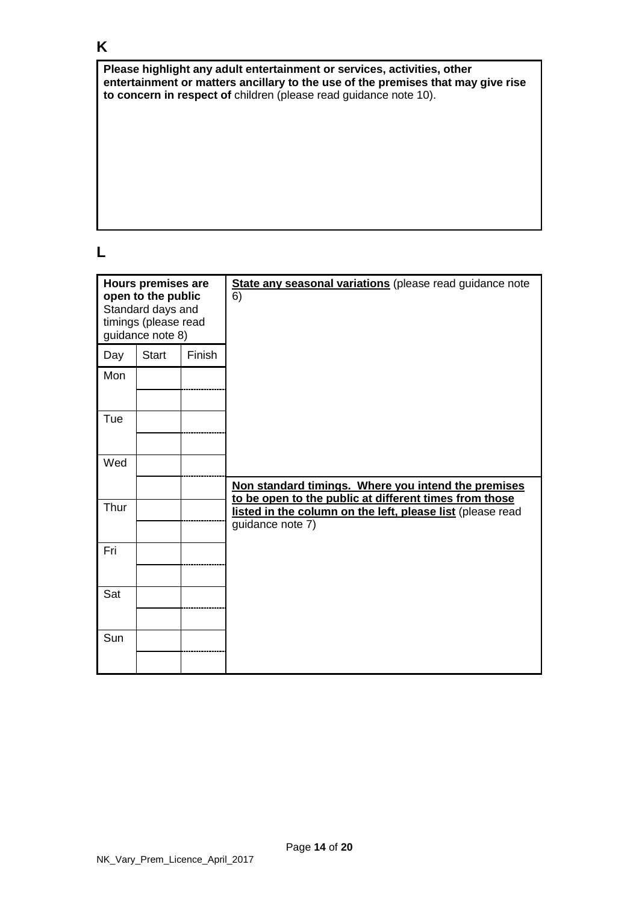# **K**

**Please highlight any adult entertainment or services, activities, other entertainment or matters ancillary to the use of the premises that may give rise to concern in respect of** children (please read guidance note 10).

## **L**

| <b>Hours premises are</b><br>open to the public<br>Standard days and<br>timings (please read<br>guidance note 8) |              |        | State any seasonal variations (please read guidance note<br>6)                                                                           |
|------------------------------------------------------------------------------------------------------------------|--------------|--------|------------------------------------------------------------------------------------------------------------------------------------------|
| Day                                                                                                              | <b>Start</b> | Finish |                                                                                                                                          |
| Mon                                                                                                              |              |        |                                                                                                                                          |
| Tue                                                                                                              |              |        |                                                                                                                                          |
| Wed                                                                                                              |              |        |                                                                                                                                          |
|                                                                                                                  |              |        | Non standard timings. Where you intend the premises                                                                                      |
| Thur                                                                                                             |              |        | to be open to the public at different times from those<br>listed in the column on the left, please list (please read<br>guidance note 7) |
| Fri                                                                                                              |              |        |                                                                                                                                          |
| Sat                                                                                                              |              |        |                                                                                                                                          |
|                                                                                                                  |              |        |                                                                                                                                          |
| Sun                                                                                                              |              |        |                                                                                                                                          |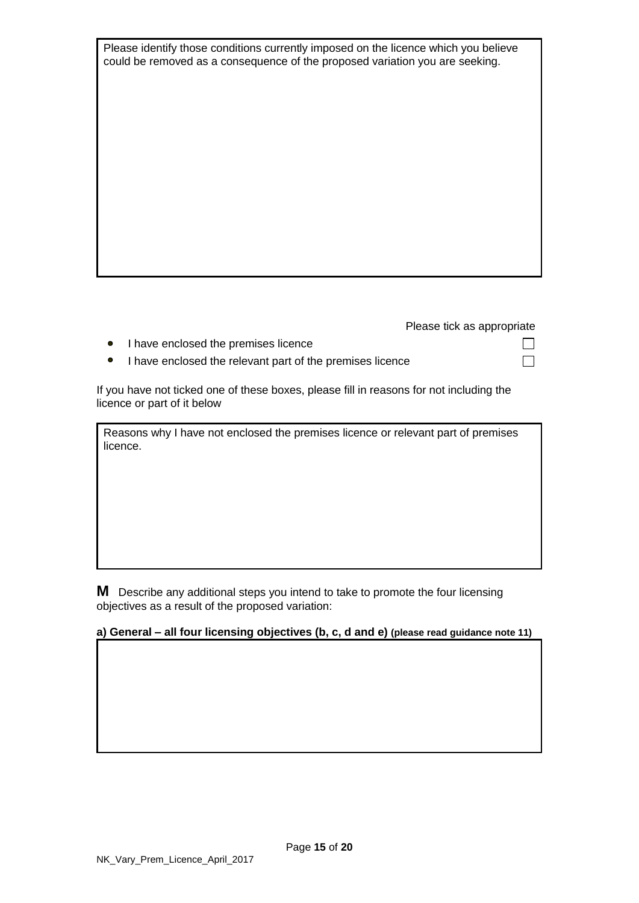Please identify those conditions currently imposed on the licence which you believe could be removed as a consequence of the proposed variation you are seeking.

Please tick as appropriate

П  $\Box$ 

- I have enclosed the premises licence
- I have enclosed the relevant part of the premises licence

If you have not ticked one of these boxes, please fill in reasons for not including the licence or part of it below

Reasons why I have not enclosed the premises licence or relevant part of premises licence.

**M** Describe any additional steps you intend to take to promote the four licensing objectives as a result of the proposed variation:

#### **a) General – all four licensing objectives (b, c, d and e) (please read guidance note 11)**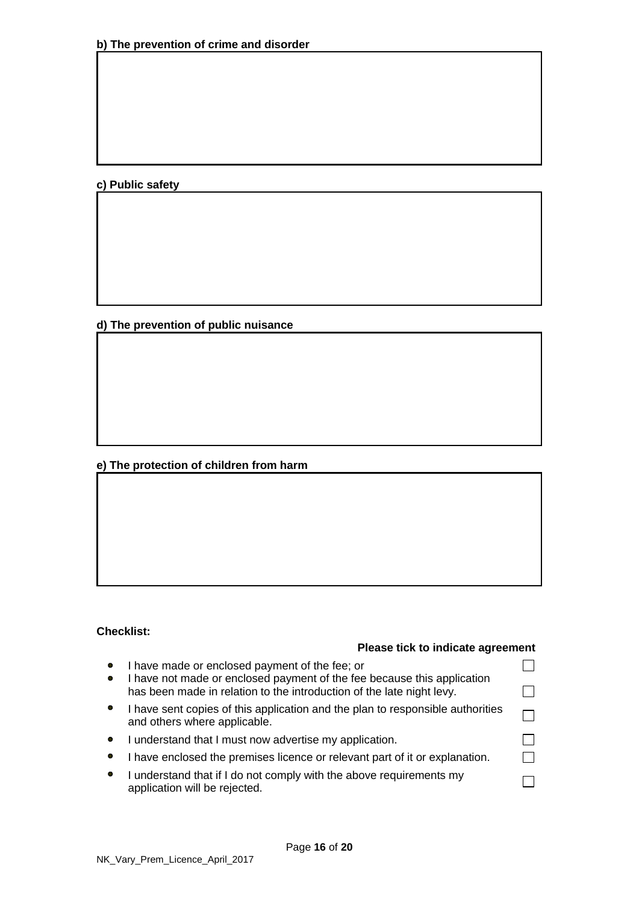**c) Public safety**

**d) The prevention of public nuisance**

## **e) The protection of children from harm**

### **Checklist:**

#### **Please tick to indicate agreement**

| $\bullet$<br>$\bullet$ | I have made or enclosed payment of the fee; or<br>I have not made or enclosed payment of the fee because this application |  |
|------------------------|---------------------------------------------------------------------------------------------------------------------------|--|
|                        | has been made in relation to the introduction of the late night levy.                                                     |  |
|                        | I have sent copies of this application and the plan to responsible authorities<br>and others where applicable.            |  |
| $\bullet$              | I understand that I must now advertise my application.                                                                    |  |
|                        | I have enclosed the premises licence or relevant part of it or explanation.                                               |  |
| $\bullet$              | I understand that if I do not comply with the above requirements my<br>application will be rejected.                      |  |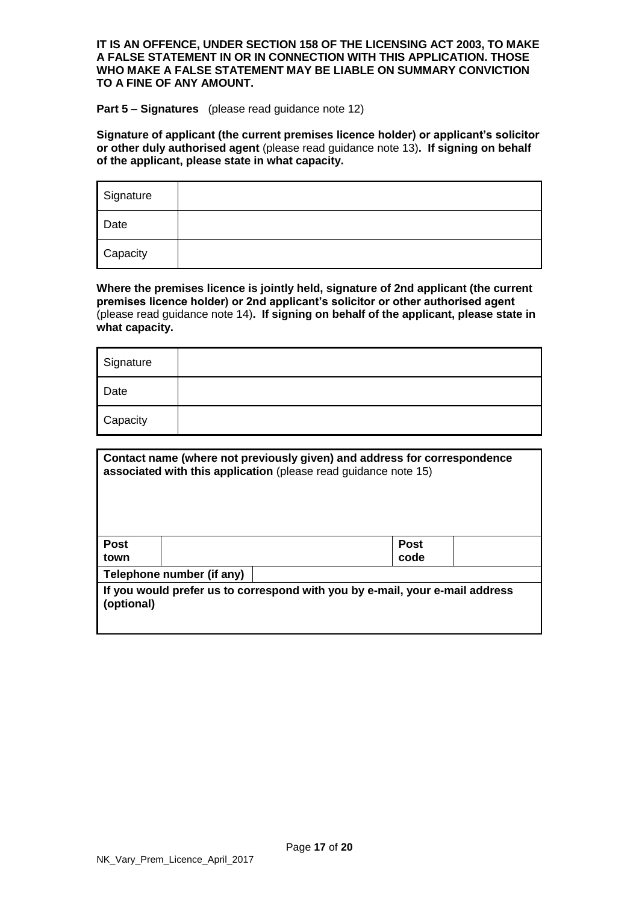#### **IT IS AN OFFENCE, UNDER SECTION 158 OF THE LICENSING ACT 2003, TO MAKE A FALSE STATEMENT IN OR IN CONNECTION WITH THIS APPLICATION. THOSE WHO MAKE A FALSE STATEMENT MAY BE LIABLE ON SUMMARY CONVICTION TO A FINE OF ANY AMOUNT.**

#### **Part 5 – Signatures** (please read guidance note 12)

**Signature of applicant (the current premises licence holder) or applicant's solicitor or other duly authorised agent** (please read guidance note 13)**. If signing on behalf of the applicant, please state in what capacity.**

| Signature |  |
|-----------|--|
| Date      |  |
| Capacity  |  |

**Where the premises licence is jointly held, signature of 2nd applicant (the current premises licence holder) or 2nd applicant's solicitor or other authorised agent** (please read guidance note 14)**. If signing on behalf of the applicant, please state in what capacity.** 

| Signature |  |
|-----------|--|
| Date      |  |
| Capacity  |  |

| Contact name (where not previously given) and address for correspondence<br>associated with this application (please read guidance note 15) |                                                                              |  |                     |  |  |
|---------------------------------------------------------------------------------------------------------------------------------------------|------------------------------------------------------------------------------|--|---------------------|--|--|
| <b>Post</b><br>town                                                                                                                         |                                                                              |  | <b>Post</b><br>code |  |  |
|                                                                                                                                             | Telephone number (if any)                                                    |  |                     |  |  |
| (optional)                                                                                                                                  | If you would prefer us to correspond with you by e-mail, your e-mail address |  |                     |  |  |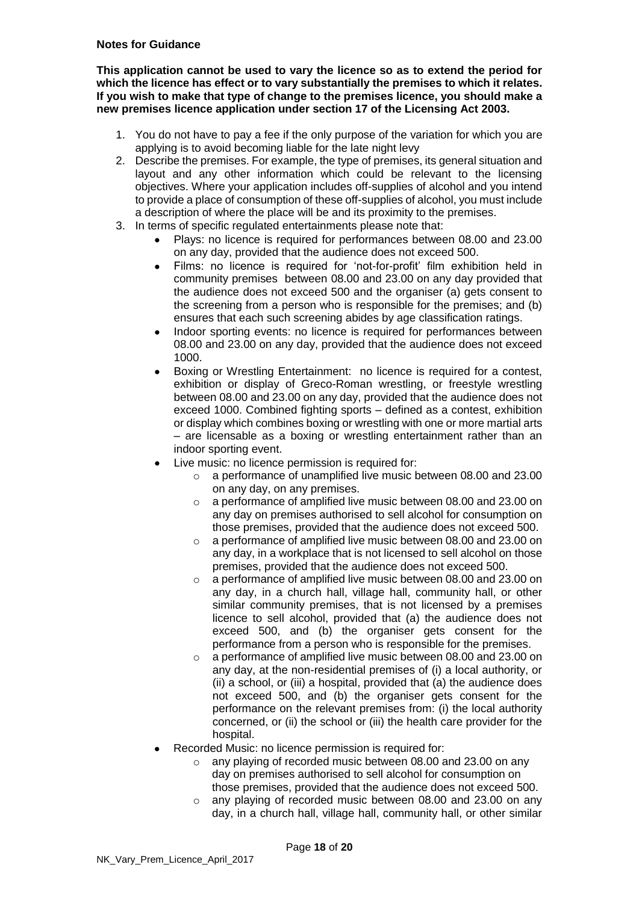#### **Notes for Guidance**

**This application cannot be used to vary the licence so as to extend the period for which the licence has effect or to vary substantially the premises to which it relates. If you wish to make that type of change to the premises licence, you should make a new premises licence application under section 17 of the Licensing Act 2003.**

- 1. You do not have to pay a fee if the only purpose of the variation for which you are applying is to avoid becoming liable for the late night levy
- 2. Describe the premises. For example, the type of premises, its general situation and layout and any other information which could be relevant to the licensing objectives. Where your application includes off-supplies of alcohol and you intend to provide a place of consumption of these off-supplies of alcohol, you must include a description of where the place will be and its proximity to the premises.
- 3. In terms of specific regulated entertainments please note that:
	- Plays: no licence is required for performances between 08.00 and 23.00 on any day, provided that the audience does not exceed 500.
	- Films: no licence is required for 'not-for-profit' film exhibition held in community premises between 08.00 and 23.00 on any day provided that the audience does not exceed 500 and the organiser (a) gets consent to the screening from a person who is responsible for the premises; and (b) ensures that each such screening abides by age classification ratings.
	- Indoor sporting events: no licence is required for performances between 08.00 and 23.00 on any day, provided that the audience does not exceed 1000.
	- Boxing or Wrestling Entertainment: no licence is required for a contest, exhibition or display of Greco-Roman wrestling, or freestyle wrestling between 08.00 and 23.00 on any day, provided that the audience does not exceed 1000. Combined fighting sports – defined as a contest, exhibition or display which combines boxing or wrestling with one or more martial arts – are licensable as a boxing or wrestling entertainment rather than an indoor sporting event.
	- Live music: no licence permission is required for:
		- o a performance of unamplified live music between 08.00 and 23.00 on any day, on any premises.
		- o a performance of amplified live music between 08.00 and 23.00 on any day on premises authorised to sell alcohol for consumption on those premises, provided that the audience does not exceed 500.
		- o a performance of amplified live music between 08.00 and 23.00 on any day, in a workplace that is not licensed to sell alcohol on those premises, provided that the audience does not exceed 500.
		- o a performance of amplified live music between 08.00 and 23.00 on any day, in a church hall, village hall, community hall, or other similar community premises, that is not licensed by a premises licence to sell alcohol, provided that (a) the audience does not exceed 500, and (b) the organiser gets consent for the performance from a person who is responsible for the premises.
		- o a performance of amplified live music between 08.00 and 23.00 on any day, at the non-residential premises of (i) a local authority, or (ii) a school, or (iii) a hospital, provided that (a) the audience does not exceed 500, and (b) the organiser gets consent for the performance on the relevant premises from: (i) the local authority concerned, or (ii) the school or (iii) the health care provider for the hospital.
		- Recorded Music: no licence permission is required for:
			- o any playing of recorded music between 08.00 and 23.00 on any day on premises authorised to sell alcohol for consumption on those premises, provided that the audience does not exceed 500.
			- any playing of recorded music between 08.00 and 23.00 on any day, in a church hall, village hall, community hall, or other similar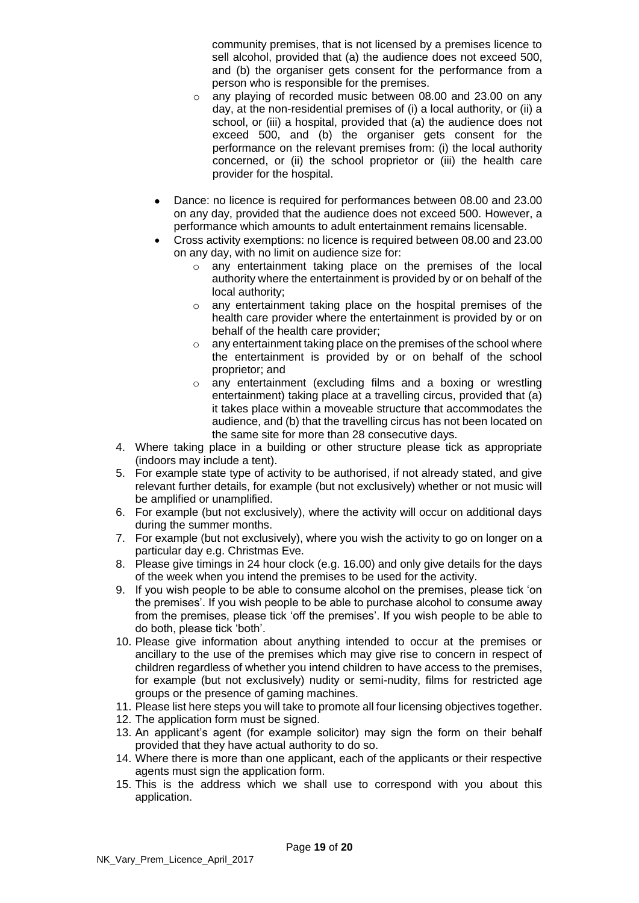community premises, that is not licensed by a premises licence to sell alcohol, provided that (a) the audience does not exceed 500, and (b) the organiser gets consent for the performance from a person who is responsible for the premises.

- o any playing of recorded music between 08.00 and 23.00 on any day, at the non-residential premises of (i) a local authority, or (ii) a school, or (iii) a hospital, provided that (a) the audience does not exceed 500, and (b) the organiser gets consent for the performance on the relevant premises from: (i) the local authority concerned, or (ii) the school proprietor or (iii) the health care provider for the hospital.
- Dance: no licence is required for performances between 08.00 and 23.00 on any day, provided that the audience does not exceed 500. However, a performance which amounts to adult entertainment remains licensable.
- Cross activity exemptions: no licence is required between 08.00 and 23.00 on any day, with no limit on audience size for:
	- o any entertainment taking place on the premises of the local authority where the entertainment is provided by or on behalf of the local authority;
	- o any entertainment taking place on the hospital premises of the health care provider where the entertainment is provided by or on behalf of the health care provider;
	- o any entertainment taking place on the premises of the school where the entertainment is provided by or on behalf of the school proprietor; and
	- o any entertainment (excluding films and a boxing or wrestling entertainment) taking place at a travelling circus, provided that (a) it takes place within a moveable structure that accommodates the audience, and (b) that the travelling circus has not been located on the same site for more than 28 consecutive days.
- 4. Where taking place in a building or other structure please tick as appropriate (indoors may include a tent).
- 5. For example state type of activity to be authorised, if not already stated, and give relevant further details, for example (but not exclusively) whether or not music will be amplified or unamplified.
- 6. For example (but not exclusively), where the activity will occur on additional days during the summer months.
- 7. For example (but not exclusively), where you wish the activity to go on longer on a particular day e.g. Christmas Eve.
- 8. Please give timings in 24 hour clock (e.g. 16.00) and only give details for the days of the week when you intend the premises to be used for the activity.
- 9. If you wish people to be able to consume alcohol on the premises, please tick 'on the premises'. If you wish people to be able to purchase alcohol to consume away from the premises, please tick 'off the premises'. If you wish people to be able to do both, please tick 'both'.
- 10. Please give information about anything intended to occur at the premises or ancillary to the use of the premises which may give rise to concern in respect of children regardless of whether you intend children to have access to the premises, for example (but not exclusively) nudity or semi-nudity, films for restricted age groups or the presence of gaming machines.
- 11. Please list here steps you will take to promote all four licensing objectives together.
- 12. The application form must be signed.
- 13. An applicant's agent (for example solicitor) may sign the form on their behalf provided that they have actual authority to do so.
- 14. Where there is more than one applicant, each of the applicants or their respective agents must sign the application form.
- 15. This is the address which we shall use to correspond with you about this application.